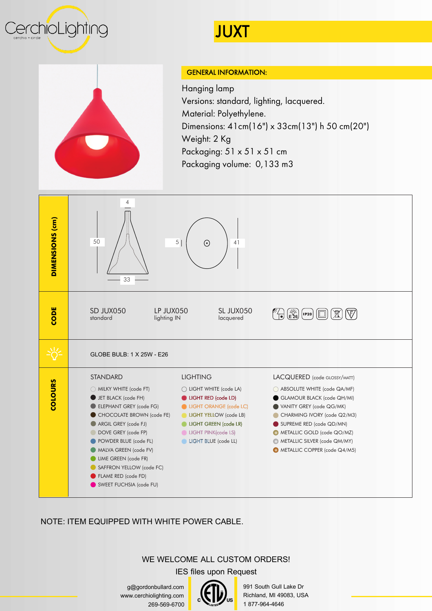



## GENERAL INFORMATION:

JUXT

Hanging lamp Versions: standard, lighting, lacquered. Material: Polyethylene. Dimensions: 41cm(16") x 33cm(13") h 50 cm(20") Weight: 2 Kg Packaging: 51 x 51 x 51 cm Packaging volume: 0,133 m3



NOTE: ITEM EQUIPPED WITH WHITE POWER CABLE.

## WE WELCOME ALL CUSTOM ORDERS!

IES files upon Request

g@gordonbullard.com www.cerchiolighting.com 269-569-6700

991 South Gull Lake Dr Richland, MI 49083, USA 1 877-964-4646